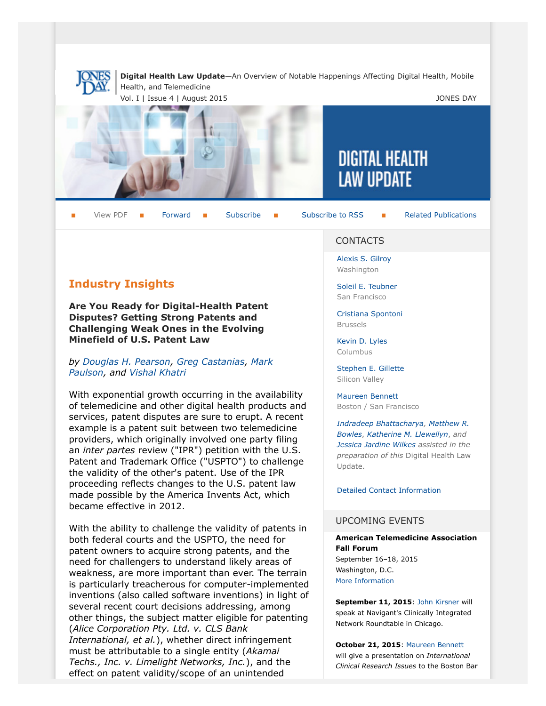

**Digital Health Law Update**—An Overview of Notable Happenings Affecting Digital Health, Mobile Health, and Telemedicine

Vol. I | Issue 4 | August 2015 **JONES DAY** 



 $\mathbf{r}$ 

View PDF  $\blacksquare$  [Forward](http://thewritestuff.jonesday.com/cff/7d0a06cdb8b5a02b88b1de4366686e431986d03e/)  $\blacksquare$  [Subscribe](http://www.jonesday.com/newsknowledge/publications.aspx)  $\blacksquare$  [Subscribe to RSS](http://www.jonesday.com/newsknowledge/rss.aspx)  $\blacksquare$  [Related Publications](http://www.jonesday.com/experiencepractices/servicedetail.aspx?serviceid=356c9fb8-c2f3-4127-b726-5a715f24c61a§ion=Publications)

# **Industry Insights**

**Are You Ready for Digital-Health Patent Disputes? Getting Strong Patents and Challenging Weak Ones in the Evolving Minefield of U.S. Patent Law**

#### *by [Douglas H. Pearson](http://www.jonesday.com/dhpearson), [Greg Castanias](http://www.jonesday.com/gcastanias), [Mark](http://www.jonesday.com/mgpaulson) [Paulson,](http://www.jonesday.com/mgpaulson) and [Vishal Khatri](http://www.jonesday.com/vkhatri)*

With exponential growth occurring in the availability of telemedicine and other digital health products and services, patent disputes are sure to erupt. A recent example is a patent suit between two telemedicine providers, which originally involved one party filing an *inter partes* review ("IPR") petition with the U.S. Patent and Trademark Office ("USPTO") to challenge the validity of the other's patent. Use of the IPR proceeding reflects changes to the U.S. patent law made possible by the America Invents Act, which became effective in 2012.

With the ability to challenge the validity of patents in both federal courts and the USPTO, the need for patent owners to acquire strong patents, and the need for challengers to understand likely areas of weakness, are more important than ever. The terrain is particularly treacherous for computer-implemented inventions (also called software inventions) in light of several recent court decisions addressing, among other things, the subject matter eligible for patenting (*Alice Corporation Pty. Ltd. v. CLS Bank International, et al.*), whether direct infringement must be attributable to a single entity (*Akamai Techs., Inc. v. Limelight Networks, Inc.*), and the effect on patent validity/scope of an unintended

### **CONTACTS**

**DIGITAL HEALTH** 

**LAW UPDATE** 

[Alexis S. Gilroy](http://www.jonesday.com/agilroy) Washington

[Soleil E. Teubner](http://www.jonesday.com/steubner) San Francisco

[Cristiana Spontoni](http://www.jonesday.com/cspontoni) Brussels

[Kevin D. Lyles](http://www.jonesday.com/kdlyles) Columbus

[Stephen E. Gillette](http://www.jonesday.com/segillette) Silicon Valley

[Maureen Bennett](http://www.jonesday.com/mbennett) Boston / San Francisco

*[Indradeep Bhattacharya](http://www.jonesday.com/ibhattacharya), [Matthew R.](http://www.jonesday.com/mbowles) [Bowles](http://www.jonesday.com/mbowles)*, *[Katherine M. Llewellyn](http://www.jonesday.com/kllewellyn)*, *and [Jessica Jardine Wilkes](http://www.jonesday.com/jjardinewilkes) assisted in the preparation of this* Digital Health Law Update.

[Detailed Contact Information](#page-4-0)

### UPCOMING EVENTS

#### **American Telemedicine Association Fall Forum**

September 16–18, 2015 Washington, D.C. [More Information](http://www.americantelemed.org/2015-ata-fall-forum/conference-overview#.VcI6mSu9mzN)

**September 11, 2015**: [John Kirsner](http://www.jonesday.com/jkirsner/) will speak at Navigant's Clinically Integrated Network Roundtable in Chicago.

**October 21, 2015**: [Maureen Bennett](http://www.jonesday.com/mbennett/) will give a presentation on *International Clinical Research Issues* to the Boston Bar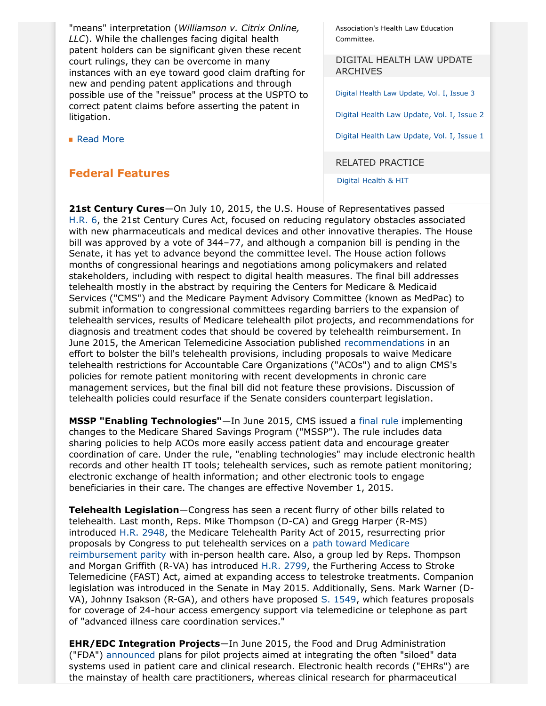"means" interpretation (*Williamson v. Citrix Online, LLC*). While the challenges facing digital health patent holders can be significant given these recent court rulings, they can be overcome in many instances with an eye toward good claim drafting for new and pending patent applications and through possible use of the "reissue" process at the USPTO to correct patent claims before asserting the patent in litigation.

■ [Read More](http://thewritestuff.jonesday.com/cv/7d0a06cdb8b5a02b88b1de4366686e431986d03e/p=2527309)

### **Federal Features**

Association's Health Law Education Committee.

DIGITAL HEALTH LAW UPDATE **ARCHIVES** 

[Digital Health Law Update, Vol. I, Issue 3](http://www.jonesday.com/Digital-Health-Law-Update-Vol-I-Issue-3-06-02-2015)

[Digital Health Law Update, Vol. I, Issue 2](http://www.jonesday.com/files/Publication/4e6b0849-abd8-4a79-a48d-3534956a7f99/Presentation/PublicationAttachment/5189be43-0ea2-4bea-8311-52d47383ae3d/Digital%20Health%20Update%20Vol%20I%20Issue%202.pdf)

[Digital Health Law Update, Vol. I, Issue 1](http://www.jonesday.com/files/Publication/039f4e6b-f66c-4af5-b6fa-13af2631c41f/Presentation/PublicationAttachment/eedd26fa-0f92-4f75-96af-bafde8afc7cd/Digital%20Health%20Vol%20I%20Issue%201.pdf)

RELATED PRACTICE

[Digital Health & HIT](http://www.jonesday.com/digitalhealthhit/)

**21st Century Cures**—On July 10, 2015, the U.S. House of Representatives passed [H.R. 6,](https://www.congress.gov/114/bills/hr6/BILLS-114hr6rfs.pdf) the 21st Century Cures Act, focused on reducing regulatory obstacles associated with new pharmaceuticals and medical devices and other innovative therapies. The House bill was approved by a vote of 344–77, and although a companion bill is pending in the Senate, it has yet to advance beyond the committee level. The House action follows months of congressional hearings and negotiations among policymakers and related stakeholders, including with respect to digital health measures. The final bill addresses telehealth mostly in the abstract by requiring the Centers for Medicare & Medicaid Services ("CMS") and the Medicare Payment Advisory Committee (known as MedPac) to submit information to congressional committees regarding barriers to the expansion of telehealth services, results of Medicare telehealth pilot projects, and recommendations for diagnosis and treatment codes that should be covered by telehealth reimbursement. In June 2015, the American Telemedicine Association published [recommendations](http://www.americantelemed.org/docs/default-source/policy/ata-comments-on-21st-century-telehealth-package.pdf?sfvrsn=2) in an effort to bolster the bill's telehealth provisions, including proposals to waive Medicare telehealth restrictions for Accountable Care Organizations ("ACOs") and to align CMS's policies for remote patient monitoring with recent developments in chronic care management services, but the final bill did not feature these provisions. Discussion of telehealth policies could resurface if the Senate considers counterpart legislation.

**MSSP "Enabling Technologies"**—In June 2015, CMS issued a [final rule](http://www.gpo.gov/fdsys/pkg/FR-2015-06-09/pdf/2015-14005.pdf) implementing changes to the Medicare Shared Savings Program ("MSSP"). The rule includes data sharing policies to help ACOs more easily access patient data and encourage greater coordination of care. Under the rule, "enabling technologies" may include electronic health records and other health IT tools; telehealth services, such as remote patient monitoring; electronic exchange of health information; and other electronic tools to engage beneficiaries in their care. The changes are effective November 1, 2015.

**Telehealth Legislation**—Congress has seen a recent flurry of other bills related to telehealth. Last month, Reps. Mike Thompson (D-CA) and Gregg Harper (R-MS) introduced [H.R. 2948,](https://www.congress.gov/114/bills/hr2948/BILLS-114hr2948ih.pdf) the Medicare Telehealth Parity Act of 2015, resurrecting prior proposals by Congress to put telehealth services on a [path toward Medicare](http://mikethompson.house.gov/newsroom/press-releases/thompson-harper-black-welch-introduce-bipartisan-legislation-to-expand) [reimbursement parity](http://mikethompson.house.gov/newsroom/press-releases/thompson-harper-black-welch-introduce-bipartisan-legislation-to-expand) with in-person health care. Also, a group led by Reps. Thompson and Morgan Griffith (R-VA) has introduced [H.R. 2799](https://www.congress.gov/114/bills/hr2799/BILLS-114hr2799ih.pdf), the Furthering Access to Stroke Telemedicine (FAST) Act, aimed at expanding access to telestroke treatments. Companion legislation was introduced in the Senate in May 2015. Additionally, Sens. Mark Warner (D-VA), Johnny Isakson (R-GA), and others have proposed [S. 1549,](https://www.congress.gov/114/bills/s1549/BILLS-114s1549is.pdf) which features proposals for coverage of 24-hour access emergency support via telemedicine or telephone as part of "advanced illness care coordination services."

**EHR/EDC Integration Projects**—In June 2015, the Food and Drug Administration ("FDA") [announced](http://www.gpo.gov/fdsys/pkg/FR-2015-06-26/pdf/2015-15644.pdf) plans for pilot projects aimed at integrating the often "siloed" data systems used in patient care and clinical research. Electronic health records ("EHRs") are the mainstay of health care practitioners, whereas clinical research for pharmaceutical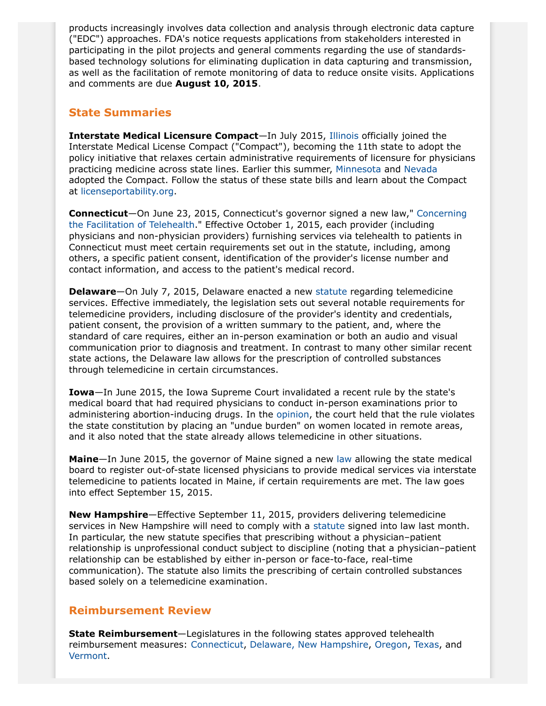products increasingly involves data collection and analysis through electronic data capture ("EDC") approaches. FDA's notice requests applications from stakeholders interested in participating in the pilot projects and general comments regarding the use of standardsbased technology solutions for eliminating duplication in data capturing and transmission, as well as the facilitation of remote monitoring of data to reduce onsite visits. Applications and comments are due **August 10, 2015**.

## **State Summaries**

**Interstate Medical Licensure Compact**—In July 2015, [Illinois](http://www.ilga.gov/legislation/publicacts/fulltext.asp?Name=099-0076) officially joined the Interstate Medical License Compact ("Compact"), becoming the 11th state to adopt the policy initiative that relaxes certain administrative requirements of licensure for physicians practicing medicine across state lines. Earlier this summer, [Minnesota](https://www.revisor.mn.gov/bills/text.php?number=SF253&version=0&session=ls89&session_year=2015&session_number=0) and [Nevada](https://www.leg.state.nv.us/Session/78th2015/Bills/SB/SB251_EN.pdf) adopted the Compact. Follow the status of these state bills and learn about the Compact at [licenseportability.org.](http://www.licenseportability.org/)

**Connecticut**—On June 23, 2015, Connecticut's governor signed a new law," [Concerning](http://www.cga.ct.gov/2015/ACT/PA/2015PA-00088-R00SB-00467-PA.htm) [the Facilitation of Telehealth](http://www.cga.ct.gov/2015/ACT/PA/2015PA-00088-R00SB-00467-PA.htm)." Effective October 1, 2015, each provider (including physicians and non-physician providers) furnishing services via telehealth to patients in Connecticut must meet certain requirements set out in the statute, including, among others, a specific patient consent, identification of the provider's license number and contact information, and access to the patient's medical record.

**Delaware**—On July 7, 2015, Delaware enacted a new [statute](http://www.legis.delaware.gov/LIS/lis148.nsf/vwLegislation/HB+69/$file/legis.html?open) regarding telemedicine services. Effective immediately, the legislation sets out several notable requirements for telemedicine providers, including disclosure of the provider's identity and credentials, patient consent, the provision of a written summary to the patient, and, where the standard of care requires, either an in-person examination or both an audio and visual communication prior to diagnosis and treatment. In contrast to many other similar recent state actions, the Delaware law allows for the prescription of controlled substances through telemedicine in certain circumstances.

**Iowa**—In June 2015, the Iowa Supreme Court invalidated a recent rule by the state's medical board that had required physicians to conduct in-person examinations prior to administering abortion-inducing drugs. In the [opinion,](http://www.iowacourts.gov/About_the_Courts/Supreme_Court/Supreme_Court_Opinions/Recent_Opinions/20150619/14-1415.pdf) the court held that the rule violates the state constitution by placing an "undue burden" on women located in remote areas, and it also noted that the state already allows telemedicine in other situations.

**Maine**—In June 2015, the governor of Maine signed a new [law](http://op.bna.com/hl.nsf/id/sasr-9xakrs/$File/MEHB443.pdf) allowing the state medical board to register out-of-state licensed physicians to provide medical services via interstate telemedicine to patients located in Maine, if certain requirements are met. The law goes into effect September 15, 2015.

**New Hampshire**—Effective September 11, 2015, providers delivering telemedicine services in New Hampshire will need to comply with a [statute](http://www.gencourt.state.nh.us/legislation/2015/SB0084.html) signed into law last month. In particular, the new statute specifies that prescribing without a physician–patient relationship is unprofessional conduct subject to discipline (noting that a physician–patient relationship can be established by either in-person or face-to-face, real-time communication). The statute also limits the prescribing of certain controlled substances based solely on a telemedicine examination.

### **Reimbursement Review**

**State Reimbursement**—Legislatures in the following states approved telehealth reimbursement measures: [Connecticut](http://www.cga.ct.gov/2015/TOB/S/2015SB-00467-R00-SB.htm), [Delaware,](http://www.legis.delaware.gov/LIS/lis148.nsf/vwLegislation/HB+69/$file/legis.html?open) [New Hampshire](https://legiscan.com/NH/text/SB112/2015), [Oregon](https://olis.leg.state.or.us/liz/2015R1/Downloads/MeasureDocument/SB144/A-Engrossed), [Texas](http://www.legis.state.tx.us/tlodocs/84R/billtext/html/HB01878I.htm), and [Vermont.](http://legislature.vermont.gov/assets/Documents/2016/Docs/BILLS/S-0139/S-0139%20As%20Passed%20by%20Both%20House%20and%20Senate%20Unofficial.pdf)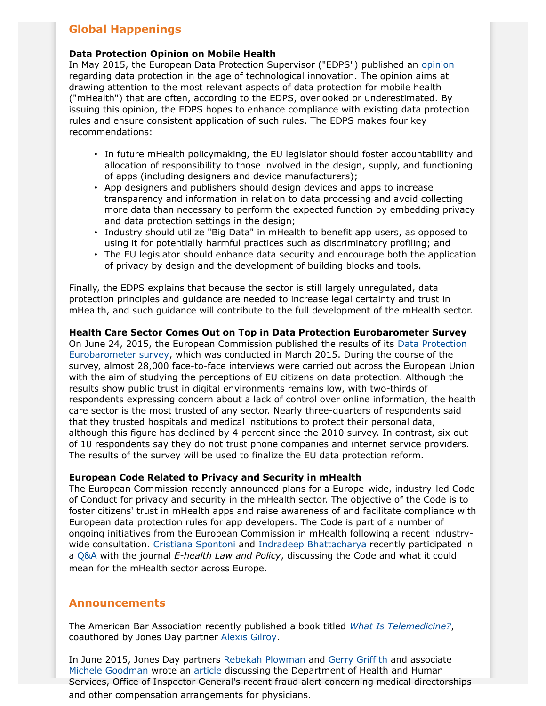## **Global Happenings**

### **Data Protection Opinion on Mobile Health**

In May 2015, the European Data Protection Supervisor ("EDPS") published an [opinion](https://secure.edps.europa.eu/EDPSWEB/webdav/site/mySite/shared/Documents/Consultation/Opinions/2015/15-05-21_Mhealth_EN.pdf) regarding data protection in the age of technological innovation. The opinion aims at drawing attention to the most relevant aspects of data protection for mobile health ("mHealth") that are often, according to the EDPS, overlooked or underestimated. By issuing this opinion, the EDPS hopes to enhance compliance with existing data protection rules and ensure consistent application of such rules. The EDPS makes four key recommendations:

- In future mHealth policymaking, the EU legislator should foster accountability and allocation of responsibility to those involved in the design, supply, and functioning of apps (including designers and device manufacturers);
- App designers and publishers should design devices and apps to increase transparency and information in relation to data processing and avoid collecting more data than necessary to perform the expected function by embedding privacy and data protection settings in the design;
- Industry should utilize "Big Data" in mHealth to benefit app users, as opposed to using it for potentially harmful practices such as discriminatory profiling; and
- The EU legislator should enhance data security and encourage both the application of privacy by design and the development of building blocks and tools.

Finally, the EDPS explains that because the sector is still largely unregulated, data protection principles and guidance are needed to increase legal certainty and trust in mHealth, and such guidance will contribute to the full development of the mHealth sector.

### **[Health Care Sector C](http://ec.europa.eu/justice/newsroom/data-protection/news/240615_en.htm)omes Out on Top in Data Protection Eurobarometer Survey**

On June 24, 2015, the European Commission published the results of its Data Protection Eurobarometer survey, which was conducted in March 2015. During the course of the survey, almost 28,000 face-to-face interviews were carried out across the European Union with the aim of studying the perceptions of EU citizens on data protection. Although the results show public trust in digital environments remains low, with two-thirds of respondents expressing concern about a lack of control over online information, the health care sector is the most trusted of any sector. Nearly three-quarters of respondents said that they trusted hospitals and medical institutions to protect their personal data, although this figure has declined by 4 percent since the 2010 survey. In contrast, six out of 10 respondents say they do not trust phone companies and internet service providers. The results of the survey will be used to finalize the EU data protection reform.

### **European Code Related to Privacy and Security in mHealth**

The European Commission recently announced plans for a Europe-wide, industry-led Code of Conduct for privacy and security in the mHealth sector. The objective of the Code is to foster citizens' trust in mHealth apps and raise awareness of and facilitate compliance with European data pro[tection rules for ap](http://www.jonesday.com/cspontoni/)p de[velopers. The Code is pa](http://www.jonesday.com/ibhattacharya/)rt of a number of o[ngoin](http://www.e-comlaw.com/ehealth-law-and-policy/hottopic.asp?id=1464)g initiatives from the European Commission in mHealth following a recent industrywide consultation. Cristiana Spontoni and Indradeep Bhattacharya recently participated in a Q&A with the journal *E-health Law and Policy*, discussing the Code and what it could mean for the mHealth sector across Europe.

### **Announcements**

The American Bar Association recently published a book titled *What Is Telemedicine?*, coauthored by Jones Day partner [Alexis Gilroy.](http://www.jonesday.com/rplowman/)

In June 2015, Jones Day partners Rebekah Plowman and Gerry Griffith and associate Michele Goodman wrote an article discussing the Department of Health and Human Services, Office of Inspector General's recent fraud alert concerning medical directorships and other compensation arrangements for physicians.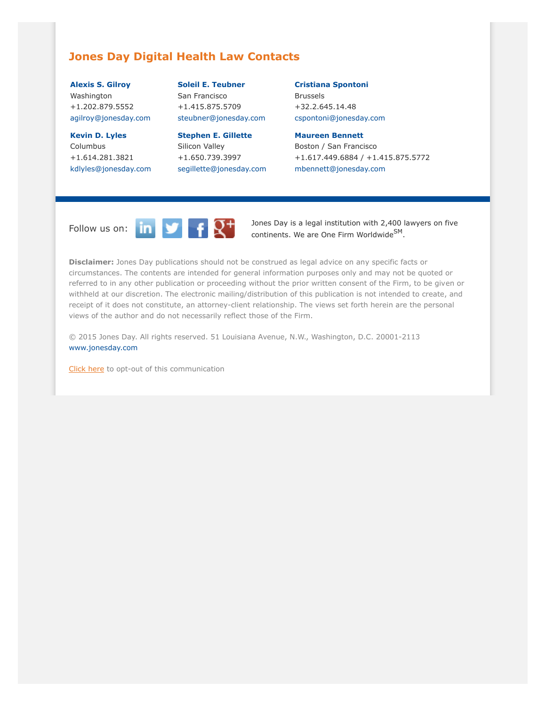### <span id="page-4-0"></span>**Jones Day Digital Health Law Contacts**

**[Alexis S. Gilroy](http://www.jonesday.com/agilroy)** Washington +1.202.879.5552 [agilroy@jonesday.com](mailto:agilroy@jonesday.com)

**[Kevin D. Lyles](http://www.jonesday.com/kdlyles)** Columbus +1.614.281.3821 [kdlyles@jonesday.com](mailto:kdlyles@jonesday.com)

**[Soleil E. Teubner](http://www.jonesday.com/steubner)** San Francisco +1.415.875.5709

[steubner@jonesday.com](mailto:steubner@jonesday.com) **[Stephen E. Gillette](http://www.jonesday.com/segillette)**

Silicon Valley +1.650.739.3997 [segillette@jonesday.com](mailto:segillette@jonesday.com) **[Cristiana Spontoni](http://www.jonesday.com/cspontoni)**

Brussels +32.2.645.14.48 [cspontoni@jonesday.com](mailto:cspontoni@jonesday.com)

**[Maureen Bennett](http://www.jonesday.com/mbennett)**

Boston / San Francisco +1.617.449.6884 / +1.415.875.5772 [mbennett@jonesday.com](mailto:mbennett@jonesday.com)



Follow us on:  $\begin{array}{|c|c|c|c|}\n\hline\n\text{In} & \text{I} & \text{I} \\
\hline\n\text{In} & \text{I} & \text{I} \\
\hline\n\text{In} & \text{I} & \text{I} \\
\hline\n\text{In} & \text{I} & \text{I} & \text{I} \\
\hline\n\text{In} & \text{I} & \text{I} & \text{I} & \text{I} \\
\hline\n\text{In} & \text{I} & \text{I} & \text{I} & \text{I} \\
\hline\n\text{In} & \text{I} & \text{I} & \text{I} &$ continents. We are One Firm Worldwide<sup>SM</sup>.

**Disclaimer:** Jones Day publications should not be construed as legal advice on any specific facts or circumstances. The contents are intended for general information purposes only and may not be quoted or referred to in any other publication or proceeding without the prior written consent of the Firm, to be given or withheld at our discretion. The electronic mailing/distribution of this publication is not intended to create, and receipt of it does not constitute, an attorney-client relationship. The views set forth herein are the personal views of the author and do not necessarily reflect those of the Firm.

© 2015 Jones Day. All rights reserved. 51 Louisiana Avenue, N.W., Washington, D.C. 20001-2113 [www.jonesday.com](http://www.jonesday.com)

[Click here](http://thewritestuff.jonesday.com/ro/) to opt-out of this communication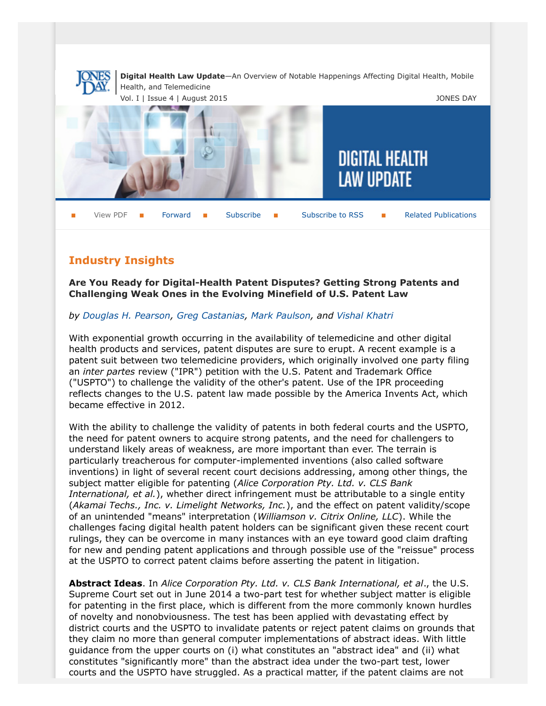

# **Industry Insights**

**Are You Ready for Digital-Health Patent Disputes? Getting Strong Patents and Challenging Weak Ones in the Evolving Minefield of U.S. Patent Law**

### *by [Douglas H. Pearson](http://www.jonesday.com/dhpearson), [Greg Castanias](http://www.jonesday.com/gcastanias), [Mark Paulson](http://www.jonesday.com/mgpaulson), and [Vishal Khatri](http://www.jonesday.com/vkhatri)*

With exponential growth occurring in the availability of telemedicine and other digital health products and services, patent disputes are sure to erupt. A recent example is a patent suit between two telemedicine providers, which originally involved one party filing an *inter partes* review ("IPR") petition with the U.S. Patent and Trademark Office ("USPTO") to challenge the validity of the other's patent. Use of the IPR proceeding reflects changes to the U.S. patent law made possible by the America Invents Act, which became effective in 2012.

With the ability to challenge the validity of patents in both federal courts and the USPTO, the need for patent owners to acquire strong patents, and the need for challengers to understand likely areas of weakness, are more important than ever. The terrain is particularly treacherous for computer-implemented inventions (also called software inventions) in light of several recent court decisions addressing, among other things, the subject matter eligible for patenting (*Alice Corporation Pty. Ltd. v. CLS Bank International, et al.*), whether direct infringement must be attributable to a single entity (*Akamai Techs., Inc. v. Limelight Networks, Inc.*), and the effect on patent validity/scope of an unintended "means" interpretation (*Williamson v. Citrix Online, LLC*). While the challenges facing digital health patent holders can be significant given these recent court rulings, they can be overcome in many instances with an eye toward good claim drafting for new and pending patent applications and through possible use of the "reissue" process at the USPTO to correct patent claims before asserting the patent in litigation.

**Abstract Ideas**. In *Alice Corporation Pty. Ltd. v. CLS Bank International, et al*., the U.S. Supreme Court set out in June 2014 a two-part test for whether subject matter is eligible for patenting in the first place, which is different from the more commonly known hurdles of novelty and nonobviousness. The test has been applied with devastating effect by district courts and the USPTO to invalidate patents or reject patent claims on grounds that they claim no more than general computer implementations of abstract ideas. With little guidance from the upper courts on (i) what constitutes an "abstract idea" and (ii) what constitutes "significantly more" than the abstract idea under the two-part test, lower courts and the USPTO have struggled. As a practical matter, if the patent claims are not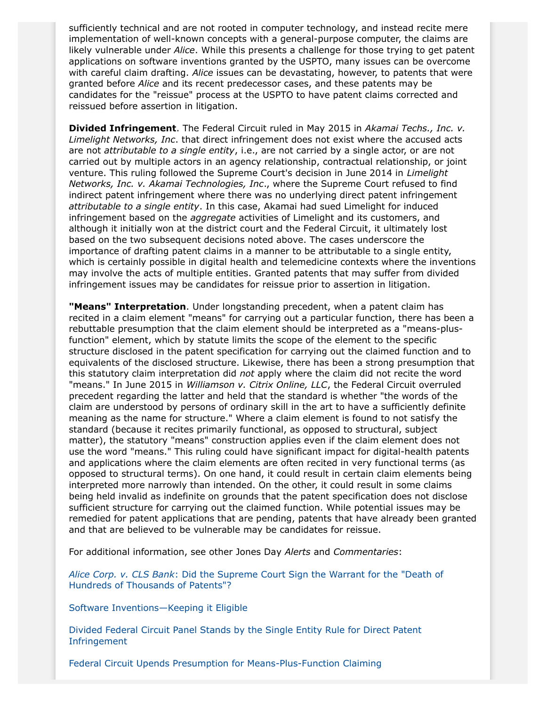sufficiently technical and are not rooted in computer technology, and instead recite mere implementation of well-known concepts with a general-purpose computer, the claims are likely vulnerable under *Alice*. While this presents a challenge for those trying to get patent applications on software inventions granted by the USPTO, many issues can be overcome with careful claim drafting. *Alice* issues can be devastating, however, to patents that were granted before *Alice* and its recent predecessor cases, and these patents may be candidates for the "reissue" process at the USPTO to have patent claims corrected and reissued before assertion in litigation.

**Divided Infringement**. The Federal Circuit ruled in May 2015 in *Akamai Techs., Inc. v. Limelight Networks, Inc*. that direct infringement does not exist where the accused acts are not *attributable to a single entity*, i.e., are not carried by a single actor, or are not carried out by multiple actors in an agency relationship, contractual relationship, or joint venture. This ruling followed the Supreme Court's decision in June 2014 in *Limelight Networks, Inc. v. Akamai Technologies, Inc*., where the Supreme Court refused to find indirect patent infringement where there was no underlying direct patent infringement *attributable to a single entity*. In this case, Akamai had sued Limelight for induced infringement based on the *aggregate* activities of Limelight and its customers, and although it initially won at the district court and the Federal Circuit, it ultimately lost based on the two subsequent decisions noted above. The cases underscore the importance of drafting patent claims in a manner to be attributable to a single entity, which is certainly possible in digital health and telemedicine contexts where the inventions may involve the acts of multiple entities. Granted patents that may suffer from divided infringement issues may be candidates for reissue prior to assertion in litigation.

**"Means" Interpretation**. Under longstanding precedent, when a patent claim has recited in a claim element "means" for carrying out a particular function, there has been a rebuttable presumption that the claim element should be interpreted as a "means-plusfunction" element, which by statute limits the scope of the element to the specific structure disclosed in the patent specification for carrying out the claimed function and to equivalents of the disclosed structure. Likewise, there has been a strong presumption that this statutory claim interpretation did *not* apply where the claim did not recite the word "means." In June 2015 in *Williamson v. Citrix Online, LLC*, the Federal Circuit overruled precedent regarding the latter and held that the standard is whether "the words of the claim are understood by persons of ordinary skill in the art to have a sufficiently definite meaning as the name for structure." Where a claim element is found to not satisfy the standard (because it recites primarily functional, as opposed to structural, subject matter), the statutory "means" construction applies even if the claim element does not use the word "means." This ruling could have significant impact for digital-health patents and applications where the claim elements are often recited in very functional terms (as opposed to structural terms). On one hand, it could result in certain claim elements being interpreted more narrowly than intended. On the other, it could result in some claims being held invalid as indefinite on grounds that the patent specification does not disclose sufficient structure for carrying out the claimed function. While potential issues may be remedied for patent applications that are pending, patents that have already been granted and that are believed to be vulnerable may be candidates for reissue.

For additional information, see other Jones Day *Alerts* and *Commentaries*:

*Alice Corp. v. CLS Bank*[: Did the Supreme Court Sign the Warrant for the "Death of](http://www.jonesday.com/alice-corp-v-cls-bank-did-the-supreme-court-sign-the-warrant-for-the-death-of-hundreds-of-thousands-of-patents-06-20-2014/) [Hundreds of Thousands of Patents"?](http://www.jonesday.com/alice-corp-v-cls-bank-did-the-supreme-court-sign-the-warrant-for-the-death-of-hundreds-of-thousands-of-patents-06-20-2014/)

[Software Inventions—Keeping it Eligible](http://www.jonesday.com/software-inventionskeeping-it-eligible-07-09-2014/)

[Divided Federal Circuit Panel Stands by the Single Entity Rule for Direct Patent](http://www.jonesday.com/divided-federal-circuit-panel-stands-by-the-single-entity-rule-for-direct-patent-infringement-05-19-2015/) [Infringement](http://www.jonesday.com/divided-federal-circuit-panel-stands-by-the-single-entity-rule-for-direct-patent-infringement-05-19-2015/)

[Federal Circuit Upends Presumption for Means-Plus-Function Claiming](http://www.jonesday.com/federal-circuit-upends-presumption-for-means-plus-function-claiming-06-23-2015/)